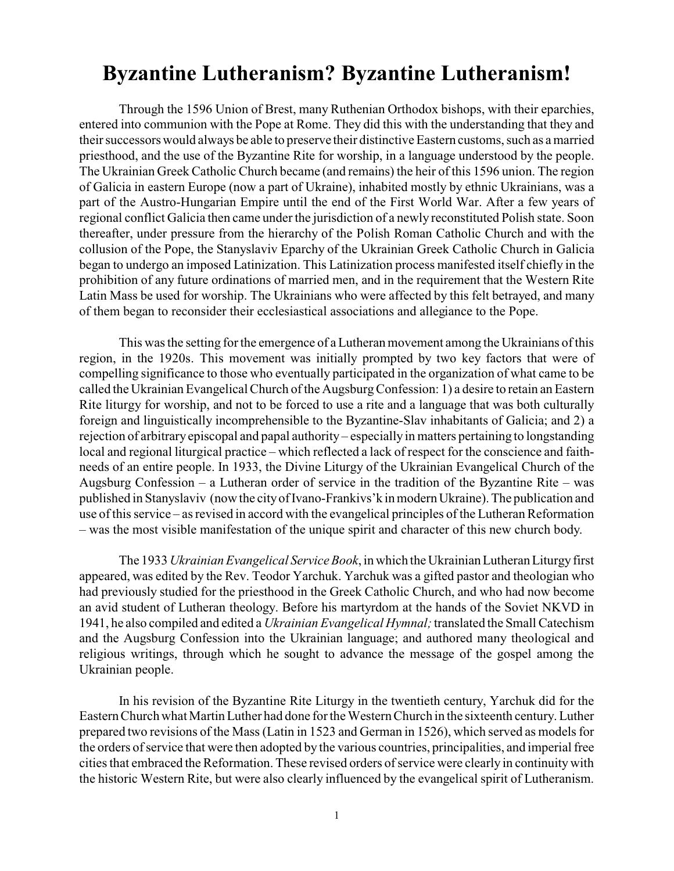## **Byzantine Lutheranism? Byzantine Lutheranism!**

Through the 1596 Union of Brest, many Ruthenian Orthodox bishops, with their eparchies, entered into communion with the Pope at Rome. They did this with the understanding that they and their successors would always be able to preserve their distinctive Eastern customs, such as a married priesthood, and the use of the Byzantine Rite for worship, in a language understood by the people. The Ukrainian Greek Catholic Church became (and remains) the heir of this 1596 union. The region of Galicia in eastern Europe (now a part of Ukraine), inhabited mostly by ethnic Ukrainians, was a part of the Austro-Hungarian Empire until the end of the First World War. After a few years of regional conflict Galicia then came under the jurisdiction of a newly reconstituted Polish state. Soon thereafter, under pressure from the hierarchy of the Polish Roman Catholic Church and with the collusion of the Pope, the Stanyslaviv Eparchy of the Ukrainian Greek Catholic Church in Galicia began to undergo an imposed Latinization. This Latinization process manifested itself chiefly in the prohibition of any future ordinations of married men, and in the requirement that the Western Rite Latin Mass be used for worship. The Ukrainians who were affected by this felt betrayed, and many of them began to reconsider their ecclesiastical associations and allegiance to the Pope.

This was the setting for the emergence of a Lutheran movement among the Ukrainians of this region, in the 1920s. This movement was initially prompted by two key factors that were of compelling significance to those who eventually participated in the organization of what came to be called the Ukrainian Evangelical Church of the AugsburgConfession: 1) a desire to retain an Eastern Rite liturgy for worship, and not to be forced to use a rite and a language that was both culturally foreign and linguistically incomprehensible to the Byzantine-Slav inhabitants of Galicia; and 2) a rejection of arbitrary episcopal and papal authority – especially in matters pertaining to longstanding local and regional liturgical practice – which reflected a lack of respect for the conscience and faithneeds of an entire people. In 1933, the Divine Liturgy of the Ukrainian Evangelical Church of the Augsburg Confession – a Lutheran order of service in the tradition of the Byzantine Rite – was published in Stanyslaviv (now the cityof Ivano-Frankivs'k in modern Ukraine). The publication and use of this service – as revised in accord with the evangelical principles of the Lutheran Reformation – was the most visible manifestation of the unique spirit and character of this new church body.

The 1933 *Ukrainian Evangelical Service Book*, in which the Ukrainian Lutheran Liturgyfirst appeared, was edited by the Rev. Teodor Yarchuk. Yarchuk was a gifted pastor and theologian who had previously studied for the priesthood in the Greek Catholic Church, and who had now become an avid student of Lutheran theology. Before his martyrdom at the hands of the Soviet NKVD in 1941, he also compiled and edited a *Ukrainian Evangelical Hymnal;*translated the Small Catechism and the Augsburg Confession into the Ukrainian language; and authored many theological and religious writings, through which he sought to advance the message of the gospel among the Ukrainian people.

In his revision of the Byzantine Rite Liturgy in the twentieth century, Yarchuk did for the Eastern Church what Martin Luther had done for the Western Church in the sixteenth century. Luther prepared two revisions of the Mass (Latin in 1523 and German in 1526), which served as models for the orders of service that were then adopted by the various countries, principalities, and imperial free cities that embraced the Reformation. These revised orders of service were clearly in continuity with the historic Western Rite, but were also clearly influenced by the evangelical spirit of Lutheranism.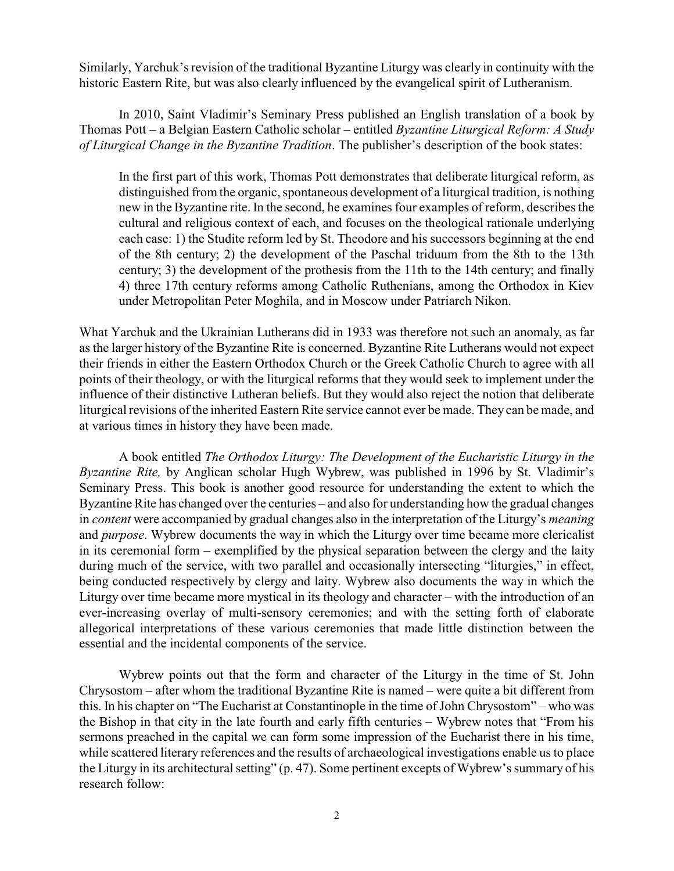Similarly, Yarchuk's revision of the traditional Byzantine Liturgy was clearly in continuity with the historic Eastern Rite, but was also clearly influenced by the evangelical spirit of Lutheranism.

In 2010, Saint Vladimir's Seminary Press published an English translation of a book by Thomas Pott – a Belgian Eastern Catholic scholar – entitled *Byzantine Liturgical Reform: A Study of Liturgical Change in the Byzantine Tradition*. The publisher's description of the book states:

In the first part of this work, Thomas Pott demonstrates that deliberate liturgical reform, as distinguished from the organic, spontaneous development of a liturgical tradition, is nothing new in the Byzantine rite. In the second, he examines four examples of reform, describes the cultural and religious context of each, and focuses on the theological rationale underlying each case: 1) the Studite reform led by St. Theodore and his successors beginning at the end of the 8th century; 2) the development of the Paschal triduum from the 8th to the 13th century; 3) the development of the prothesis from the 11th to the 14th century; and finally 4) three 17th century reforms among Catholic Ruthenians, among the Orthodox in Kiev under Metropolitan Peter Moghila, and in Moscow under Patriarch Nikon.

What Yarchuk and the Ukrainian Lutherans did in 1933 was therefore not such an anomaly, as far as the larger history of the Byzantine Rite is concerned. Byzantine Rite Lutherans would not expect their friends in either the Eastern Orthodox Church or the Greek Catholic Church to agree with all points of their theology, or with the liturgical reforms that they would seek to implement under the influence of their distinctive Lutheran beliefs. But they would also reject the notion that deliberate liturgical revisions of the inherited Eastern Rite service cannot ever be made. They can be made, and at various times in history they have been made.

A book entitled *The Orthodox Liturgy: The Development of the Eucharistic Liturgy in the Byzantine Rite,* by Anglican scholar Hugh Wybrew, was published in 1996 by St. Vladimir's Seminary Press. This book is another good resource for understanding the extent to which the Byzantine Rite has changed over the centuries – and also for understanding how the gradual changes in *content* were accompanied by gradual changes also in the interpretation of the Liturgy's *meaning* and *purpose*. Wybrew documents the way in which the Liturgy over time became more clericalist in its ceremonial form – exemplified by the physical separation between the clergy and the laity during much of the service, with two parallel and occasionally intersecting "liturgies," in effect, being conducted respectively by clergy and laity. Wybrew also documents the way in which the Liturgy over time became more mystical in its theology and character – with the introduction of an ever-increasing overlay of multi-sensory ceremonies; and with the setting forth of elaborate allegorical interpretations of these various ceremonies that made little distinction between the essential and the incidental components of the service.

Wybrew points out that the form and character of the Liturgy in the time of St. John Chrysostom – after whom the traditional Byzantine Rite is named – were quite a bit different from this. In his chapter on "The Eucharist at Constantinople in the time of John Chrysostom" – who was the Bishop in that city in the late fourth and early fifth centuries – Wybrew notes that "From his sermons preached in the capital we can form some impression of the Eucharist there in his time, while scattered literary references and the results of archaeological investigations enable us to place the Liturgy in its architectural setting" (p. 47). Some pertinent excepts of Wybrew's summary of his research follow: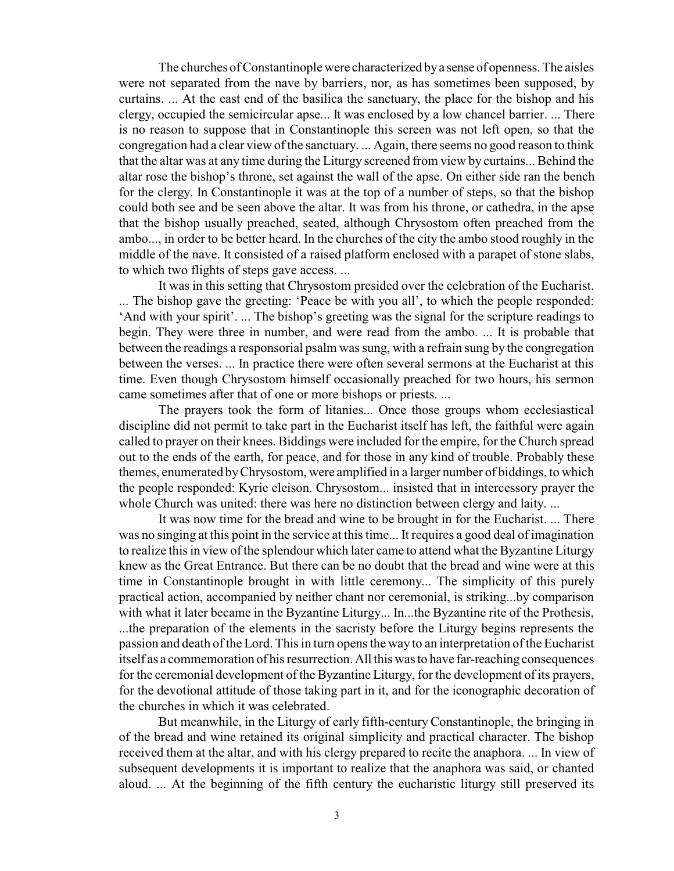The churches of Constantinople were characterized bya sense of openness. The aisles were not separated from the nave by barriers, nor, as has sometimes been supposed, by curtains. ... At the east end of the basilica the sanctuary, the place for the bishop and his clergy, occupied the semicircular apse... It was enclosed by a low chancel barrier. ... There is no reason to suppose that in Constantinople this screen was not left open, so that the congregation had a clear view of the sanctuary. ... Again, there seems no good reason to think that the altar was at any time during the Liturgy screened from view by curtains... Behind the altar rose the bishop's throne, set against the wall of the apse. On either side ran the bench for the clergy. In Constantinople it was at the top of a number of steps, so that the bishop could both see and be seen above the altar. It was from his throne, or cathedra, in the apse that the bishop usually preached, seated, although Chrysostom often preached from the ambo..., in order to be better heard. In the churches of the city the ambo stood roughly in the middle of the nave. It consisted of a raised platform enclosed with a parapet of stone slabs, to which two flights of steps gave access. ...

It was in this setting that Chrysostom presided over the celebration of the Eucharist. ... The bishop gave the greeting: 'Peace be with you all', to which the people responded: 'And with your spirit'. ... The bishop's greeting was the signal for the scripture readings to begin. They were three in number, and were read from the ambo. ... It is probable that between the readings a responsorial psalm was sung, with a refrain sung by the congregation between the verses. ... In practice there were often several sermons at the Eucharist at this time. Even though Chrysostom himself occasionally preached for two hours, his sermon came sometimes after that of one or more bishops or priests. ...

The prayers took the form of litanies... Once those groups whom ecclesiastical discipline did not permit to take part in the Eucharist itself has left, the faithful were again called to prayer on their knees. Biddings were included for the empire, for the Church spread out to the ends of the earth, for peace, and for those in any kind of trouble. Probably these themes, enumerated byChrysostom, were amplified in a larger number of biddings, to which the people responded: Kyrie eleison. Chrysostom... insisted that in intercessory prayer the whole Church was united: there was here no distinction between clergy and laity. ...

It was now time for the bread and wine to be brought in for the Eucharist. ... There was no singing at this point in the service at this time... It requires a good deal of imagination to realize this in view of the splendour which later came to attend what the Byzantine Liturgy knew as the Great Entrance. But there can be no doubt that the bread and wine were at this time in Constantinople brought in with little ceremony... The simplicity of this purely practical action, accompanied by neither chant nor ceremonial, is striking...by comparison with what it later became in the Byzantine Liturgy... In...the Byzantine rite of the Prothesis, ...the preparation of the elements in the sacristy before the Liturgy begins represents the passion and death of the Lord. This in turn opens the way to an interpretation of the Eucharist itself as a commemoration of his resurrection. All this was to have far-reaching consequences for the ceremonial development of the Byzantine Liturgy, for the development of its prayers, for the devotional attitude of those taking part in it, and for the iconographic decoration of the churches in which it was celebrated.

But meanwhile, in the Liturgy of early fifth-century Constantinople, the bringing in of the bread and wine retained its original simplicity and practical character. The bishop received them at the altar, and with his clergy prepared to recite the anaphora. ... In view of subsequent developments it is important to realize that the anaphora was said, or chanted aloud. ... At the beginning of the fifth century the eucharistic liturgy still preserved its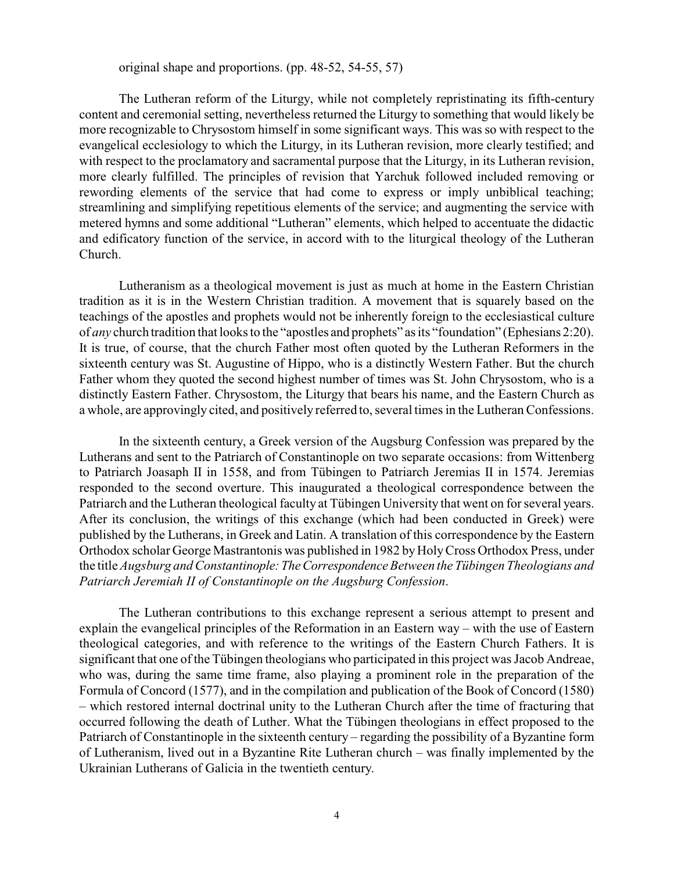original shape and proportions. (pp. 48-52, 54-55, 57)

The Lutheran reform of the Liturgy, while not completely repristinating its fifth-century content and ceremonial setting, nevertheless returned the Liturgy to something that would likely be more recognizable to Chrysostom himself in some significant ways. This was so with respect to the evangelical ecclesiology to which the Liturgy, in its Lutheran revision, more clearly testified; and with respect to the proclamatory and sacramental purpose that the Liturgy, in its Lutheran revision, more clearly fulfilled. The principles of revision that Yarchuk followed included removing or rewording elements of the service that had come to express or imply unbiblical teaching; streamlining and simplifying repetitious elements of the service; and augmenting the service with metered hymns and some additional "Lutheran" elements, which helped to accentuate the didactic and edificatory function of the service, in accord with to the liturgical theology of the Lutheran Church.

Lutheranism as a theological movement is just as much at home in the Eastern Christian tradition as it is in the Western Christian tradition. A movement that is squarely based on the teachings of the apostles and prophets would not be inherently foreign to the ecclesiastical culture of *any* church tradition that looks to the "apostles and prophets" as its "foundation" (Ephesians 2:20). It is true, of course, that the church Father most often quoted by the Lutheran Reformers in the sixteenth century was St. Augustine of Hippo, who is a distinctly Western Father. But the church Father whom they quoted the second highest number of times was St. John Chrysostom, who is a distinctly Eastern Father. Chrysostom, the Liturgy that bears his name, and the Eastern Church as a whole, are approvingly cited, and positively referred to, several times in the Lutheran Confessions.

In the sixteenth century, a Greek version of the Augsburg Confession was prepared by the Lutherans and sent to the Patriarch of Constantinople on two separate occasions: from Wittenberg to Patriarch Joasaph II in 1558, and from Tübingen to Patriarch Jeremias II in 1574. Jeremias responded to the second overture. This inaugurated a theological correspondence between the Patriarch and the Lutheran theological faculty at Tübingen University that went on for several years. After its conclusion, the writings of this exchange (which had been conducted in Greek) were published by the Lutherans, in Greek and Latin. A translation of this correspondence by the Eastern Orthodox scholar George Mastrantonis was published in 1982 by Holy Cross Orthodox Press, under the title *Augsburg and Constantinople:TheCorrespondence Between the Tübingen Theologians and Patriarch Jeremiah II of Constantinople on the Augsburg Confession*.

The Lutheran contributions to this exchange represent a serious attempt to present and explain the evangelical principles of the Reformation in an Eastern way – with the use of Eastern theological categories, and with reference to the writings of the Eastern Church Fathers. It is significant that one of the Tübingen theologians who participated in this project was Jacob Andreae, who was, during the same time frame, also playing a prominent role in the preparation of the Formula of Concord (1577), and in the compilation and publication of the Book of Concord (1580) – which restored internal doctrinal unity to the Lutheran Church after the time of fracturing that occurred following the death of Luther. What the Tübingen theologians in effect proposed to the Patriarch of Constantinople in the sixteenth century – regarding the possibility of a Byzantine form of Lutheranism, lived out in a Byzantine Rite Lutheran church – was finally implemented by the Ukrainian Lutherans of Galicia in the twentieth century.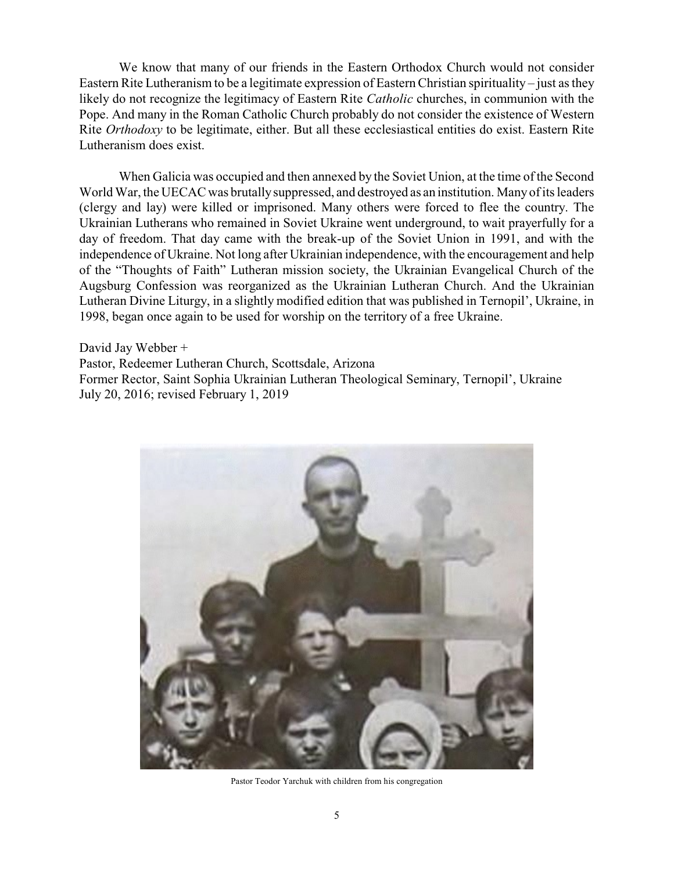We know that many of our friends in the Eastern Orthodox Church would not consider Eastern Rite Lutheranism to be a legitimate expression of Eastern Christian spirituality – just as they likely do not recognize the legitimacy of Eastern Rite *Catholic* churches, in communion with the Pope. And many in the Roman Catholic Church probably do not consider the existence of Western Rite *Orthodoxy* to be legitimate, either. But all these ecclesiastical entities do exist. Eastern Rite Lutheranism does exist.

When Galicia was occupied and then annexed by the Soviet Union, at the time of the Second World War, the UECAC was brutallysuppressed, and destroyed as an institution. Many of its leaders (clergy and lay) were killed or imprisoned. Many others were forced to flee the country. The Ukrainian Lutherans who remained in Soviet Ukraine went underground, to wait prayerfully for a day of freedom. That day came with the break-up of the Soviet Union in 1991, and with the independence of Ukraine. Not long after Ukrainian independence, with the encouragement and help of the "Thoughts of Faith" Lutheran mission society, the Ukrainian Evangelical Church of the Augsburg Confession was reorganized as the Ukrainian Lutheran Church. And the Ukrainian Lutheran Divine Liturgy, in a slightly modified edition that was published in Ternopil', Ukraine, in 1998, began once again to be used for worship on the territory of a free Ukraine.

David Jay Webber + Pastor, Redeemer Lutheran Church, Scottsdale, Arizona Former Rector, Saint Sophia Ukrainian Lutheran Theological Seminary, Ternopil', Ukraine July 20, 2016; revised February 1, 2019



Pastor Teodor Yarchuk with children from his congregation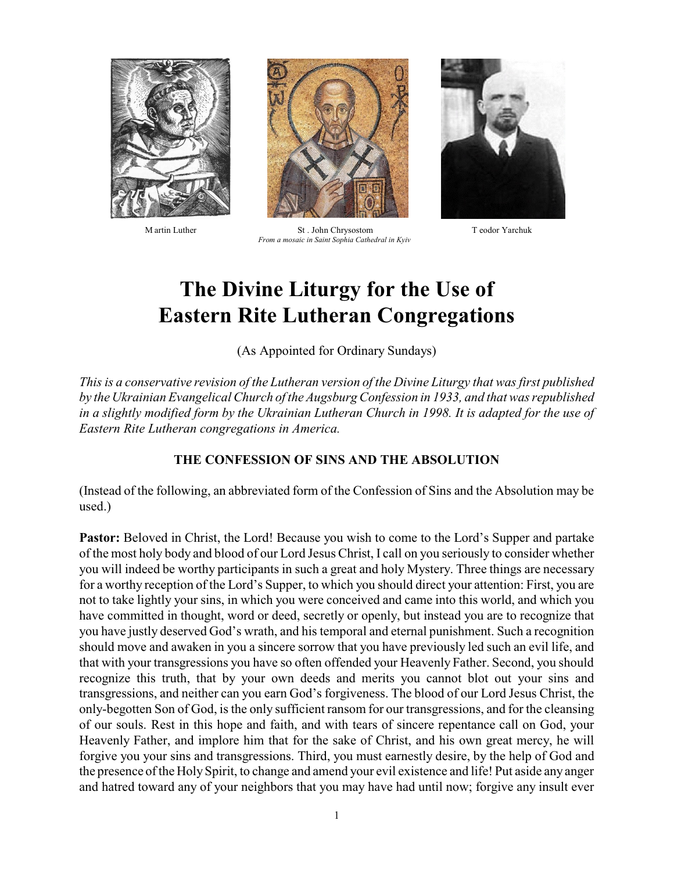



 M artin Luther St . John Chrysostom T eodor Yarchuk  *From a mosaic in Saint Sophia Cathedral in Kyiv*



# **The Divine Liturgy for the Use of Eastern Rite Lutheran Congregations**

(As Appointed for Ordinary Sundays)

*This is a conservative revision of the Lutheran version of the Divine Liturgy that was first published by the Ukrainian Evangelical Church of the Augsburg Confession in 1933, and that was republished in a slightly modified form by the Ukrainian Lutheran Church in 1998. It is adapted for the use of Eastern Rite Lutheran congregations in America.*

#### **THE CONFESSION OF SINS AND THE ABSOLUTION**

(Instead of the following, an abbreviated form of the Confession of Sins and the Absolution may be used.)

**Pastor:** Beloved in Christ, the Lord! Because you wish to come to the Lord's Supper and partake of the most holy body and blood of our Lord Jesus Christ, I call on you seriously to consider whether you will indeed be worthy participants in such a great and holy Mystery. Three things are necessary for a worthy reception of the Lord's Supper, to which you should direct your attention: First, you are not to take lightly your sins, in which you were conceived and came into this world, and which you have committed in thought, word or deed, secretly or openly, but instead you are to recognize that you have justly deserved God's wrath, and his temporal and eternal punishment. Such a recognition should move and awaken in you a sincere sorrow that you have previously led such an evil life, and that with your transgressions you have so often offended your Heavenly Father. Second, you should recognize this truth, that by your own deeds and merits you cannot blot out your sins and transgressions, and neither can you earn God's forgiveness. The blood of our Lord Jesus Christ, the only-begotten Son of God, is the only sufficient ransom for our transgressions, and for the cleansing of our souls. Rest in this hope and faith, and with tears of sincere repentance call on God, your Heavenly Father, and implore him that for the sake of Christ, and his own great mercy, he will forgive you your sins and transgressions. Third, you must earnestly desire, by the help of God and the presence of the HolySpirit, to change and amend your evil existence and life! Put aside any anger and hatred toward any of your neighbors that you may have had until now; forgive any insult ever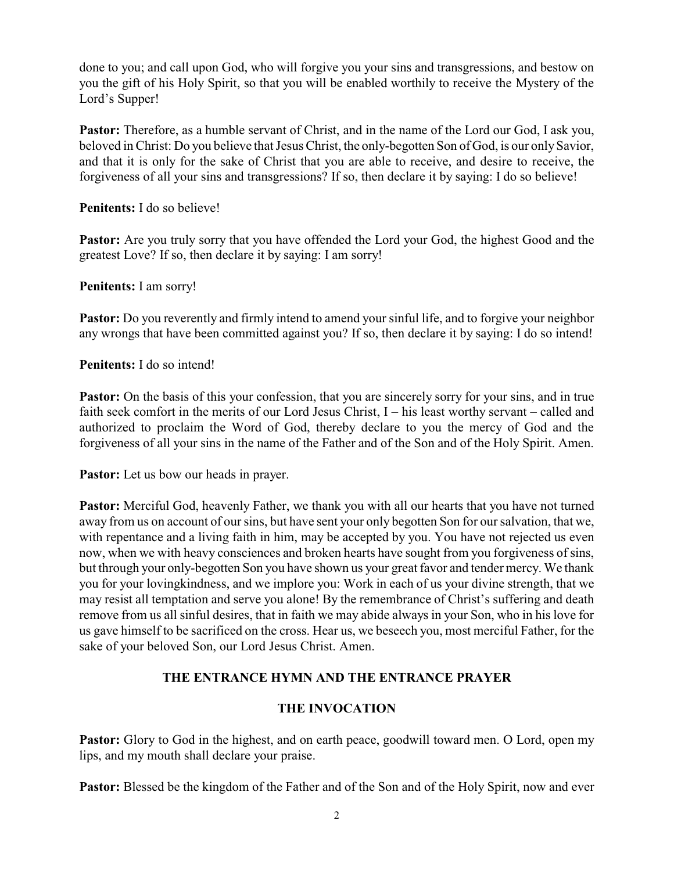done to you; and call upon God, who will forgive you your sins and transgressions, and bestow on you the gift of his Holy Spirit, so that you will be enabled worthily to receive the Mystery of the Lord's Supper!

**Pastor:** Therefore, as a humble servant of Christ, and in the name of the Lord our God, I ask you, beloved in Christ: Do you believe that Jesus Christ, the only-begotten Son of God, is our onlySavior, and that it is only for the sake of Christ that you are able to receive, and desire to receive, the forgiveness of all your sins and transgressions? If so, then declare it by saying: I do so believe!

**Penitents:** I do so believe!

**Pastor:** Are you truly sorry that you have offended the Lord your God, the highest Good and the greatest Love? If so, then declare it by saying: I am sorry!

**Penitents:** I am sorry!

**Pastor:** Do you reverently and firmly intend to amend your sinful life, and to forgive your neighbor any wrongs that have been committed against you? If so, then declare it by saying: I do so intend!

**Penitents:** I do so intend!

**Pastor:** On the basis of this your confession, that you are sincerely sorry for your sins, and in true faith seek comfort in the merits of our Lord Jesus Christ, I – his least worthy servant – called and authorized to proclaim the Word of God, thereby declare to you the mercy of God and the forgiveness of all your sins in the name of the Father and of the Son and of the Holy Spirit. Amen.

**Pastor:** Let us bow our heads in prayer.

**Pastor:** Merciful God, heavenly Father, we thank you with all our hearts that you have not turned away from us on account of our sins, but have sent your only begotten Son for our salvation, that we, with repentance and a living faith in him, may be accepted by you. You have not rejected us even now, when we with heavy consciences and broken hearts have sought from you forgiveness of sins, but through your only-begotten Son you have shown us your great favor and tender mercy. We thank you for your lovingkindness, and we implore you: Work in each of us your divine strength, that we may resist all temptation and serve you alone! By the remembrance of Christ's suffering and death remove from us all sinful desires, that in faith we may abide always in your Son, who in his love for us gave himself to be sacrificed on the cross. Hear us, we beseech you, most merciful Father, for the sake of your beloved Son, our Lord Jesus Christ. Amen.

## **THE ENTRANCE HYMN AND THE ENTRANCE PRAYER**

## **THE INVOCATION**

**Pastor:** Glory to God in the highest, and on earth peace, goodwill toward men. O Lord, open my lips, and my mouth shall declare your praise.

Pastor: Blessed be the kingdom of the Father and of the Son and of the Holy Spirit, now and ever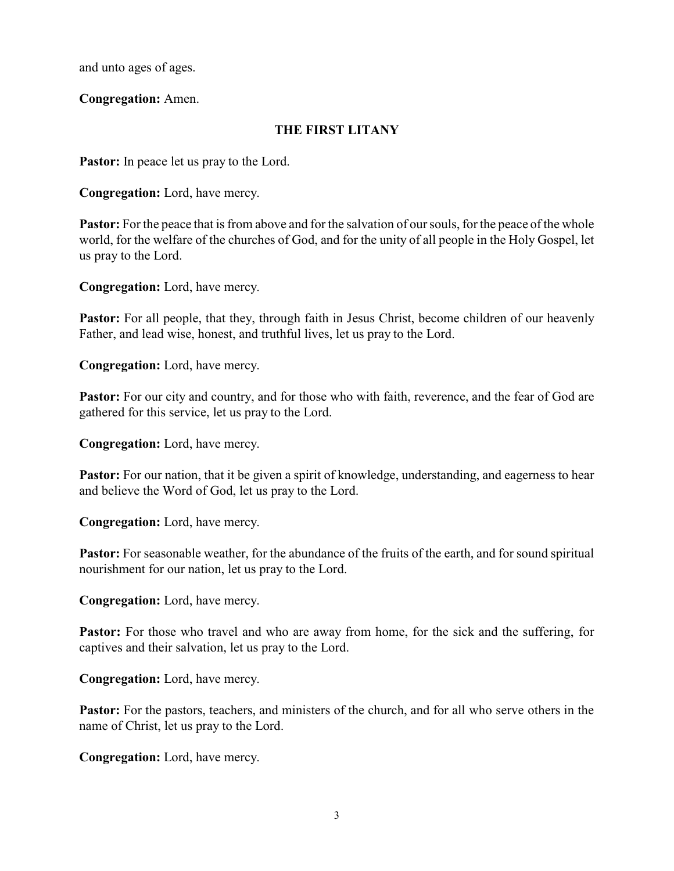and unto ages of ages.

**Congregation:** Amen.

## **THE FIRST LITANY**

**Pastor:** In peace let us pray to the Lord.

**Congregation:** Lord, have mercy.

**Pastor:** For the peace that is from above and for the salvation of our souls, for the peace of the whole world, for the welfare of the churches of God, and for the unity of all people in the Holy Gospel, let us pray to the Lord.

**Congregation:** Lord, have mercy.

**Pastor:** For all people, that they, through faith in Jesus Christ, become children of our heavenly Father, and lead wise, honest, and truthful lives, let us pray to the Lord.

**Congregation:** Lord, have mercy.

**Pastor:** For our city and country, and for those who with faith, reverence, and the fear of God are gathered for this service, let us pray to the Lord.

**Congregation:** Lord, have mercy.

**Pastor:** For our nation, that it be given a spirit of knowledge, understanding, and eagerness to hear and believe the Word of God, let us pray to the Lord.

**Congregation:** Lord, have mercy.

**Pastor:** For seasonable weather, for the abundance of the fruits of the earth, and for sound spiritual nourishment for our nation, let us pray to the Lord.

**Congregation:** Lord, have mercy.

**Pastor:** For those who travel and who are away from home, for the sick and the suffering, for captives and their salvation, let us pray to the Lord.

**Congregation:** Lord, have mercy.

**Pastor:** For the pastors, teachers, and ministers of the church, and for all who serve others in the name of Christ, let us pray to the Lord.

**Congregation:** Lord, have mercy.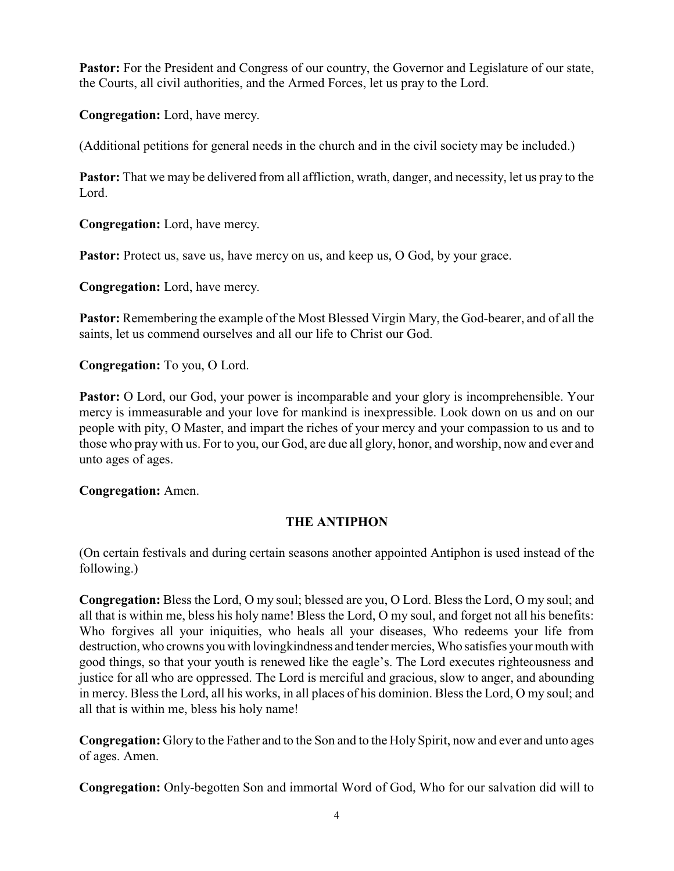**Pastor:** For the President and Congress of our country, the Governor and Legislature of our state, the Courts, all civil authorities, and the Armed Forces, let us pray to the Lord.

**Congregation:** Lord, have mercy.

(Additional petitions for general needs in the church and in the civil society may be included.)

**Pastor:** That we may be delivered from all affliction, wrath, danger, and necessity, let us pray to the Lord.

**Congregation:** Lord, have mercy.

**Pastor:** Protect us, save us, have mercy on us, and keep us, O God, by your grace.

**Congregation:** Lord, have mercy.

**Pastor:** Remembering the example of the Most Blessed Virgin Mary, the God-bearer, and of all the saints, let us commend ourselves and all our life to Christ our God.

**Congregation:** To you, O Lord.

**Pastor:** O Lord, our God, your power is incomparable and your glory is incomprehensible. Your mercy is immeasurable and your love for mankind is inexpressible. Look down on us and on our people with pity, O Master, and impart the riches of your mercy and your compassion to us and to those who praywith us. For to you, our God, are due all glory, honor, and worship, now and ever and unto ages of ages.

**Congregation:** Amen.

## **THE ANTIPHON**

(On certain festivals and during certain seasons another appointed Antiphon is used instead of the following.)

**Congregation:** Bless the Lord, O my soul; blessed are you, O Lord. Bless the Lord, O my soul; and all that is within me, bless his holy name! Bless the Lord, O my soul, and forget not all his benefits: Who forgives all your iniquities, who heals all your diseases, Who redeems your life from destruction,who crowns you with lovingkindness and tender mercies, Who satisfies your mouth with good things, so that your youth is renewed like the eagle's. The Lord executes righteousness and justice for all who are oppressed. The Lord is merciful and gracious, slow to anger, and abounding in mercy. Bless the Lord, all his works, in all places of his dominion. Bless the Lord, O my soul; and all that is within me, bless his holy name!

**Congregation:** Glory to the Father and to the Son and to the Holy Spirit, now and ever and unto ages of ages. Amen.

**Congregation:** Only-begotten Son and immortal Word of God, Who for our salvation did will to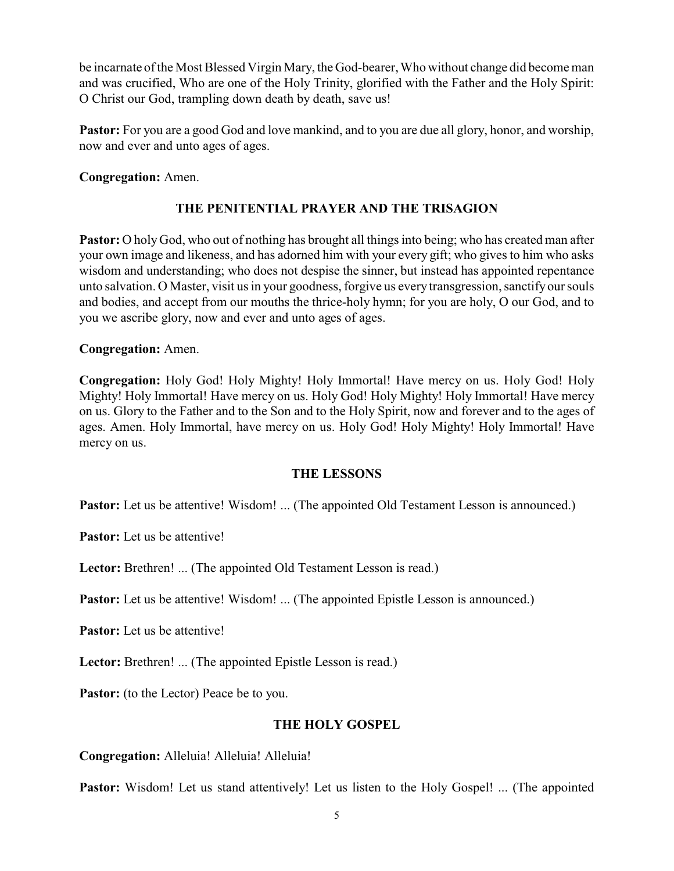be incarnate of the Most Blessed Virgin Mary, the God-bearer, Who without change did become man and was crucified, Who are one of the Holy Trinity, glorified with the Father and the Holy Spirit: O Christ our God, trampling down death by death, save us!

**Pastor:** For you are a good God and love mankind, and to you are due all glory, honor, and worship, now and ever and unto ages of ages.

#### **Congregation:** Amen.

## **THE PENITENTIAL PRAYER AND THE TRISAGION**

**Pastor:** O holy God, who out of nothing has brought all things into being; who has created man after your own image and likeness, and has adorned him with your every gift; who gives to him who asks wisdom and understanding; who does not despise the sinner, but instead has appointed repentance unto salvation. O Master, visit us in your goodness, forgive us every transgression, sanctifyour souls and bodies, and accept from our mouths the thrice-holy hymn; for you are holy, O our God, and to you we ascribe glory, now and ever and unto ages of ages.

#### **Congregation:** Amen.

**Congregation:** Holy God! Holy Mighty! Holy Immortal! Have mercy on us. Holy God! Holy Mighty! Holy Immortal! Have mercy on us. Holy God! Holy Mighty! Holy Immortal! Have mercy on us. Glory to the Father and to the Son and to the Holy Spirit, now and forever and to the ages of ages. Amen. Holy Immortal, have mercy on us. Holy God! Holy Mighty! Holy Immortal! Have mercy on us.

#### **THE LESSONS**

**Pastor:** Let us be attentive! Wisdom! ... (The appointed Old Testament Lesson is announced.)

**Pastor:** Let us be attentive!

**Lector:** Brethren! ... (The appointed Old Testament Lesson is read.)

**Pastor:** Let us be attentive! Wisdom! ... (The appointed Epistle Lesson is announced.)

**Pastor:** Let us be attentive!

**Lector:** Brethren! ... (The appointed Epistle Lesson is read.)

**Pastor:** (to the Lector) Peace be to you.

## **THE HOLY GOSPEL**

**Congregation:** Alleluia! Alleluia! Alleluia!

**Pastor:** Wisdom! Let us stand attentively! Let us listen to the Holy Gospel! ... (The appointed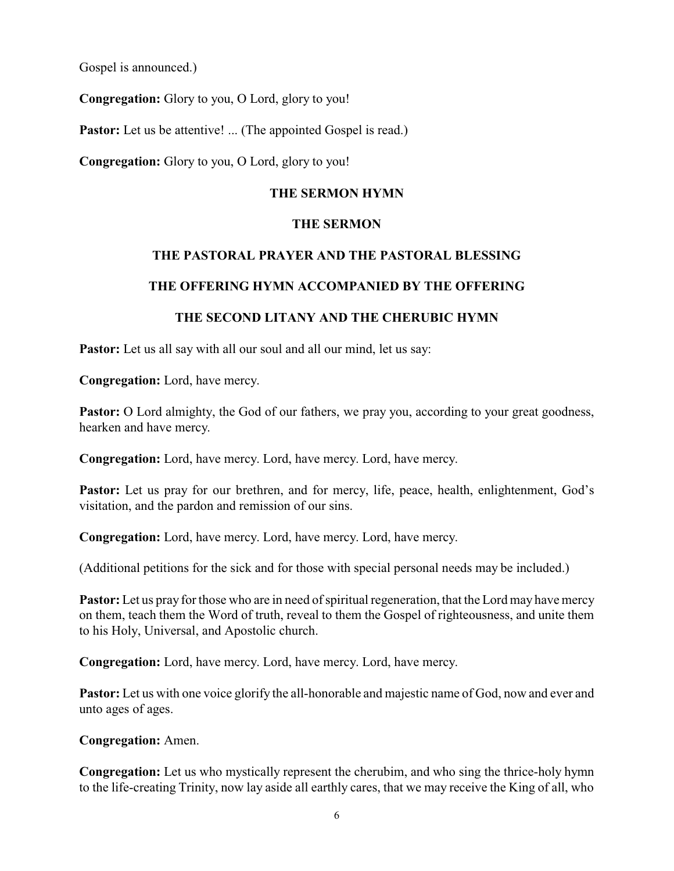Gospel is announced.)

**Congregation:** Glory to you, O Lord, glory to you!

**Pastor:** Let us be attentive! ... (The appointed Gospel is read.)

**Congregation:** Glory to you, O Lord, glory to you!

#### **THE SERMON HYMN**

#### **THE SERMON**

#### **THE PASTORAL PRAYER AND THE PASTORAL BLESSING**

## **THE OFFERING HYMN ACCOMPANIED BY THE OFFERING**

## **THE SECOND LITANY AND THE CHERUBIC HYMN**

**Pastor:** Let us all say with all our soul and all our mind, let us say:

**Congregation:** Lord, have mercy.

**Pastor:** O Lord almighty, the God of our fathers, we pray you, according to your great goodness, hearken and have mercy.

**Congregation:** Lord, have mercy. Lord, have mercy. Lord, have mercy.

Pastor: Let us pray for our brethren, and for mercy, life, peace, health, enlightenment, God's visitation, and the pardon and remission of our sins.

**Congregation:** Lord, have mercy. Lord, have mercy. Lord, have mercy.

(Additional petitions for the sick and for those with special personal needs may be included.)

**Pastor:** Let us pray for those who are in need of spiritual regeneration, that the Lord may have mercy on them, teach them the Word of truth, reveal to them the Gospel of righteousness, and unite them to his Holy, Universal, and Apostolic church.

**Congregation:** Lord, have mercy. Lord, have mercy. Lord, have mercy.

**Pastor:** Let us with one voice glorify the all-honorable and majestic name of God, now and ever and unto ages of ages.

**Congregation:** Amen.

**Congregation:** Let us who mystically represent the cherubim, and who sing the thrice-holy hymn to the life-creating Trinity, now lay aside all earthly cares, that we may receive the King of all, who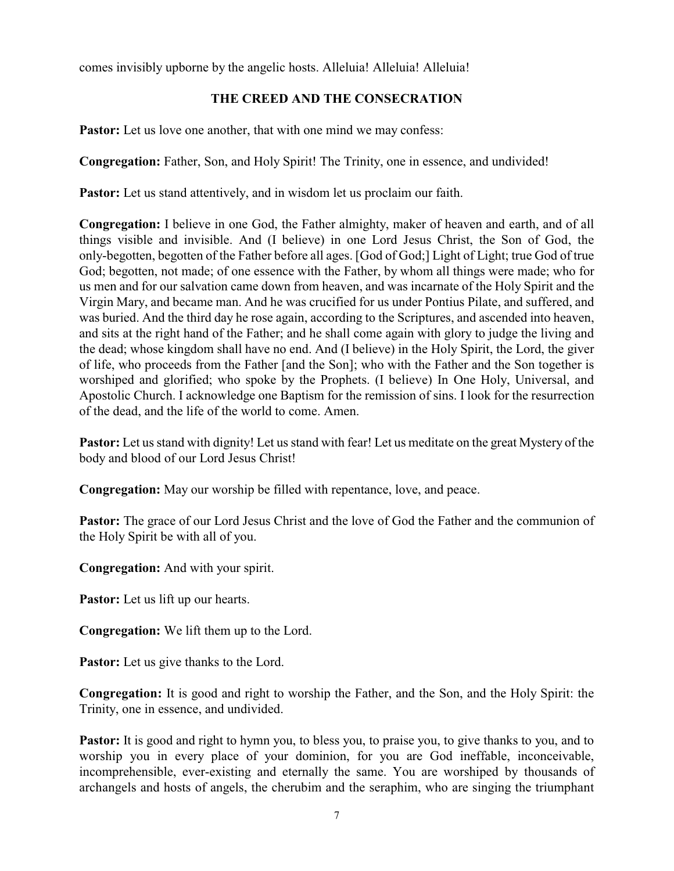comes invisibly upborne by the angelic hosts. Alleluia! Alleluia! Alleluia!

## **THE CREED AND THE CONSECRATION**

**Pastor:** Let us love one another, that with one mind we may confess:

**Congregation:** Father, Son, and Holy Spirit! The Trinity, one in essence, and undivided!

Pastor: Let us stand attentively, and in wisdom let us proclaim our faith.

**Congregation:** I believe in one God, the Father almighty, maker of heaven and earth, and of all things visible and invisible. And (I believe) in one Lord Jesus Christ, the Son of God, the only-begotten, begotten of the Father before all ages. [God of God;] Light of Light; true God of true God; begotten, not made; of one essence with the Father, by whom all things were made; who for us men and for our salvation came down from heaven, and was incarnate of the Holy Spirit and the Virgin Mary, and became man. And he was crucified for us under Pontius Pilate, and suffered, and was buried. And the third day he rose again, according to the Scriptures, and ascended into heaven, and sits at the right hand of the Father; and he shall come again with glory to judge the living and the dead; whose kingdom shall have no end. And (I believe) in the Holy Spirit, the Lord, the giver of life, who proceeds from the Father [and the Son]; who with the Father and the Son together is worshiped and glorified; who spoke by the Prophets. (I believe) In One Holy, Universal, and Apostolic Church. I acknowledge one Baptism for the remission of sins. I look for the resurrection of the dead, and the life of the world to come. Amen.

**Pastor:** Let us stand with dignity! Let us stand with fear! Let us meditate on the great Mystery of the body and blood of our Lord Jesus Christ!

**Congregation:** May our worship be filled with repentance, love, and peace.

**Pastor:** The grace of our Lord Jesus Christ and the love of God the Father and the communion of the Holy Spirit be with all of you.

**Congregation:** And with your spirit.

**Pastor:** Let us lift up our hearts.

**Congregation:** We lift them up to the Lord.

**Pastor:** Let us give thanks to the Lord.

**Congregation:** It is good and right to worship the Father, and the Son, and the Holy Spirit: the Trinity, one in essence, and undivided.

**Pastor:** It is good and right to hymn you, to bless you, to praise you, to give thanks to you, and to worship you in every place of your dominion, for you are God ineffable, inconceivable, incomprehensible, ever-existing and eternally the same. You are worshiped by thousands of archangels and hosts of angels, the cherubim and the seraphim, who are singing the triumphant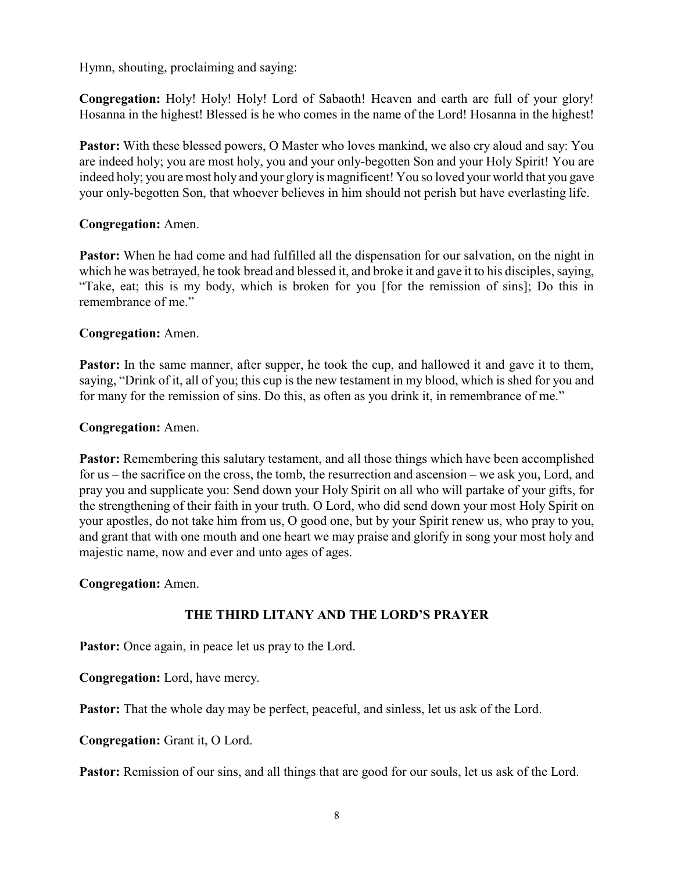Hymn, shouting, proclaiming and saying:

**Congregation:** Holy! Holy! Holy! Lord of Sabaoth! Heaven and earth are full of your glory! Hosanna in the highest! Blessed is he who comes in the name of the Lord! Hosanna in the highest!

**Pastor:** With these blessed powers, O Master who loves mankind, we also cry aloud and say: You are indeed holy; you are most holy, you and your only-begotten Son and your Holy Spirit! You are indeed holy; you are most holy and your glory is magnificent! You so loved your world that you gave your only-begotten Son, that whoever believes in him should not perish but have everlasting life.

#### **Congregation:** Amen.

**Pastor:** When he had come and had fulfilled all the dispensation for our salvation, on the night in which he was betrayed, he took bread and blessed it, and broke it and gave it to his disciples, saying, "Take, eat; this is my body, which is broken for you [for the remission of sins]; Do this in remembrance of me."

#### **Congregation:** Amen.

**Pastor:** In the same manner, after supper, he took the cup, and hallowed it and gave it to them, saying, "Drink of it, all of you; this cup is the new testament in my blood, which is shed for you and for many for the remission of sins. Do this, as often as you drink it, in remembrance of me."

#### **Congregation:** Amen.

**Pastor:** Remembering this salutary testament, and all those things which have been accomplished for us – the sacrifice on the cross, the tomb, the resurrection and ascension – we ask you, Lord, and pray you and supplicate you: Send down your Holy Spirit on all who will partake of your gifts, for the strengthening of their faith in your truth. O Lord, who did send down your most Holy Spirit on your apostles, do not take him from us, O good one, but by your Spirit renew us, who pray to you, and grant that with one mouth and one heart we may praise and glorify in song your most holy and majestic name, now and ever and unto ages of ages.

**Congregation:** Amen.

## **THE THIRD LITANY AND THE LORD'S PRAYER**

Pastor: Once again, in peace let us pray to the Lord.

**Congregation:** Lord, have mercy.

**Pastor:** That the whole day may be perfect, peaceful, and sinless, let us ask of the Lord.

**Congregation:** Grant it, O Lord.

**Pastor:** Remission of our sins, and all things that are good for our souls, let us ask of the Lord.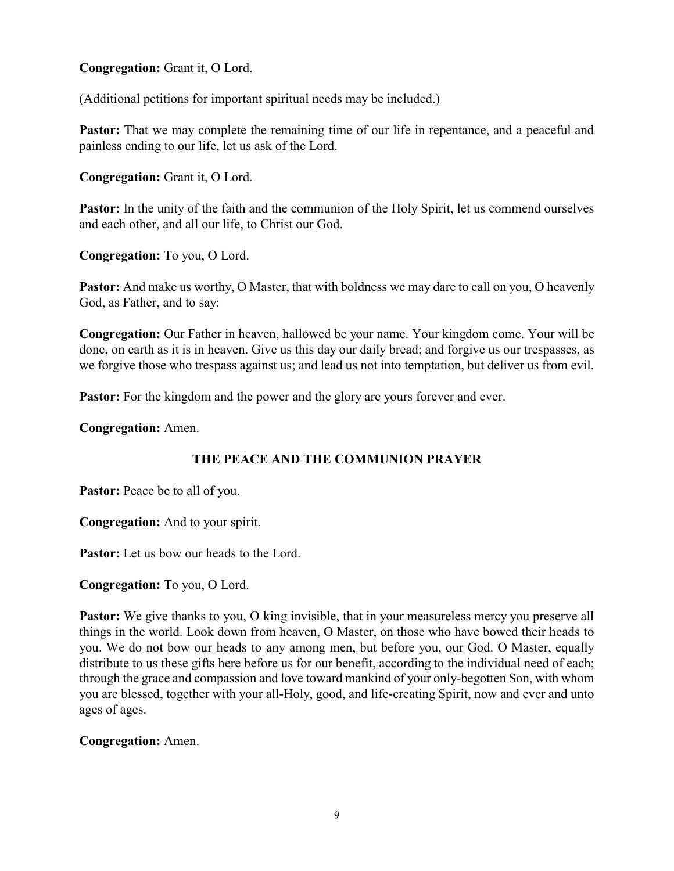**Congregation:** Grant it, O Lord.

(Additional petitions for important spiritual needs may be included.)

**Pastor:** That we may complete the remaining time of our life in repentance, and a peaceful and painless ending to our life, let us ask of the Lord.

**Congregation:** Grant it, O Lord.

**Pastor:** In the unity of the faith and the communion of the Holy Spirit, let us commend ourselves and each other, and all our life, to Christ our God.

**Congregation:** To you, O Lord.

**Pastor:** And make us worthy, O Master, that with boldness we may dare to call on you, O heavenly God, as Father, and to say:

**Congregation:** Our Father in heaven, hallowed be your name. Your kingdom come. Your will be done, on earth as it is in heaven. Give us this day our daily bread; and forgive us our trespasses, as we forgive those who trespass against us; and lead us not into temptation, but deliver us from evil.

**Pastor:** For the kingdom and the power and the glory are yours forever and ever.

**Congregation:** Amen.

## **THE PEACE AND THE COMMUNION PRAYER**

**Pastor:** Peace be to all of you.

**Congregation:** And to your spirit.

**Pastor:** Let us bow our heads to the Lord.

**Congregation:** To you, O Lord.

**Pastor:** We give thanks to you, O king invisible, that in your measureless mercy you preserve all things in the world. Look down from heaven, O Master, on those who have bowed their heads to you. We do not bow our heads to any among men, but before you, our God. O Master, equally distribute to us these gifts here before us for our benefit, according to the individual need of each; through the grace and compassion and love toward mankind of your only-begotten Son, with whom you are blessed, together with your all-Holy, good, and life-creating Spirit, now and ever and unto ages of ages.

**Congregation:** Amen.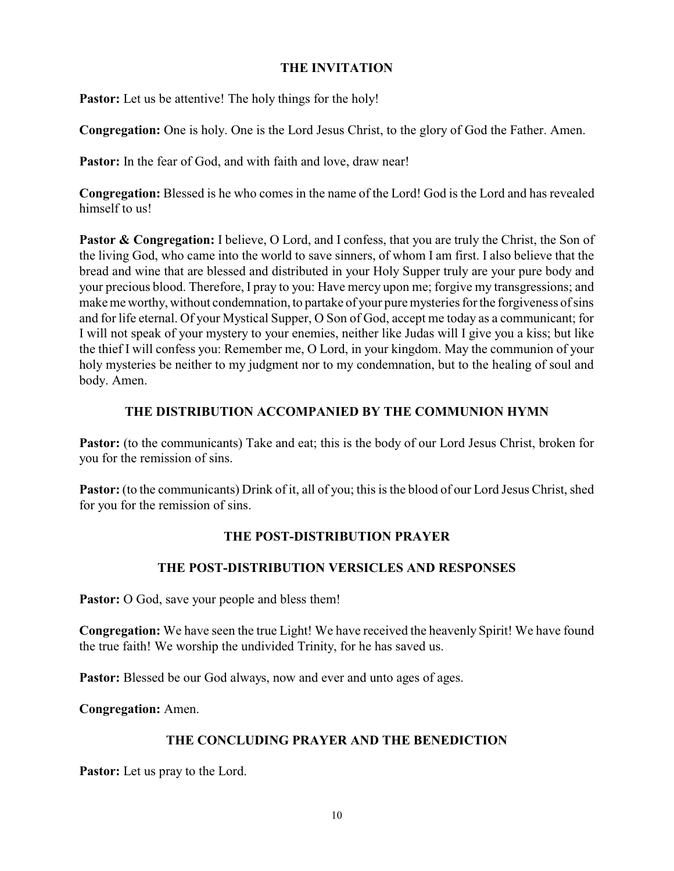#### **THE INVITATION**

**Pastor:** Let us be attentive! The holy things for the holy!

**Congregation:** One is holy. One is the Lord Jesus Christ, to the glory of God the Father. Amen.

**Pastor:** In the fear of God, and with faith and love, draw near!

**Congregation:** Blessed is he who comes in the name of the Lord! God is the Lord and has revealed himself to us!

**Pastor & Congregation:** I believe, O Lord, and I confess, that you are truly the Christ, the Son of the living God, who came into the world to save sinners, of whom I am first. I also believe that the bread and wine that are blessed and distributed in your Holy Supper truly are your pure body and your precious blood. Therefore, I pray to you: Have mercy upon me; forgive my transgressions; and make me worthy, without condemnation, to partake of your pure mysteries for the forgiveness of sins and for life eternal. Of your Mystical Supper, O Son of God, accept me today as a communicant; for I will not speak of your mystery to your enemies, neither like Judas will I give you a kiss; but like the thief I will confess you: Remember me, O Lord, in your kingdom. May the communion of your holy mysteries be neither to my judgment nor to my condemnation, but to the healing of soul and body. Amen.

## **THE DISTRIBUTION ACCOMPANIED BY THE COMMUNION HYMN**

Pastor: (to the communicants) Take and eat; this is the body of our Lord Jesus Christ, broken for you for the remission of sins.

Pastor: (to the communicants) Drink of it, all of you; this is the blood of our Lord Jesus Christ, shed for you for the remission of sins.

## **THE POST-DISTRIBUTION PRAYER**

## **THE POST-DISTRIBUTION VERSICLES AND RESPONSES**

**Pastor:** O God, save your people and bless them!

**Congregation:** We have seen the true Light! We have received the heavenly Spirit! We have found the true faith! We worship the undivided Trinity, for he has saved us.

Pastor: Blessed be our God always, now and ever and unto ages of ages.

**Congregation:** Amen.

## **THE CONCLUDING PRAYER AND THE BENEDICTION**

**Pastor:** Let us pray to the Lord.